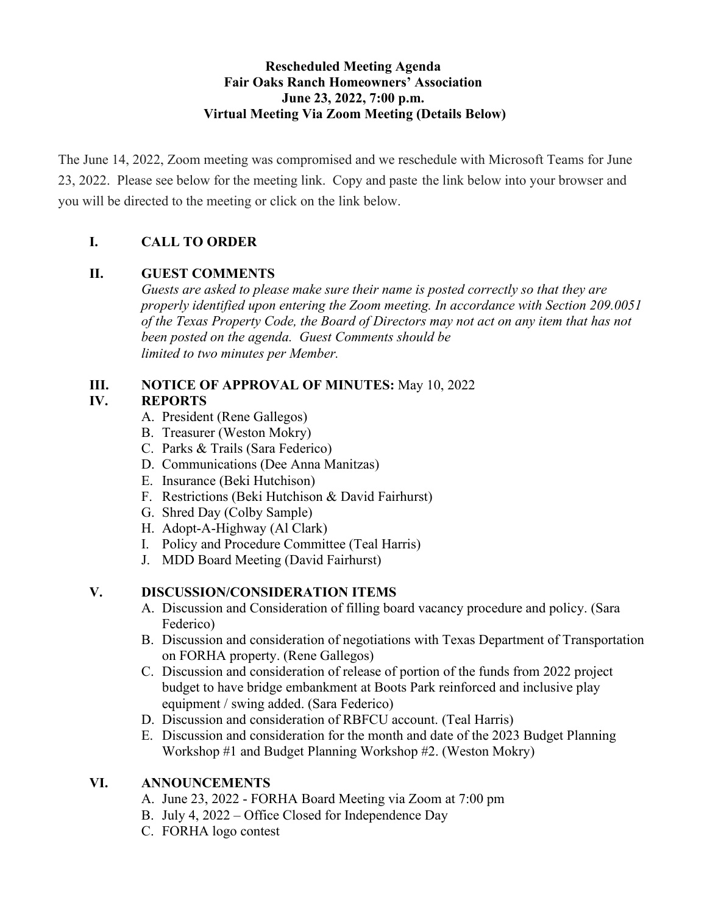## **Rescheduled Meeting Agenda Fair Oaks Ranch Homeowners' Association June 23, 2022, 7:00 p.m. Virtual Meeting Via Zoom Meeting (Details Below)**

The June 14, 2022, Zoom meeting was compromised and we reschedule with Microsoft Teams for June 23, 2022. Please see below for the meeting link. Copy and paste the link below into your browser and you will be directed to the meeting or click on the link below.

# **I. CALL TO ORDER**

# **II. GUEST COMMENTS**

*Guests are asked to please make sure their name is posted correctly so that they are properly identified upon entering the Zoom meeting. In accordance with Section 209.0051 of the Texas Property Code, the Board of Directors may not act on any item that has not been posted on the agenda. Guest Comments should be limited to two minutes per Member.*

## **III. NOTICE OF APPROVAL OF MINUTES:** May 10, 2022

# **IV. REPORTS**

- A. President (Rene Gallegos)
- B. Treasurer (Weston Mokry)
- C. Parks & Trails (Sara Federico)
- D. Communications (Dee Anna Manitzas)
- E. Insurance (Beki Hutchison)
- F. Restrictions (Beki Hutchison & David Fairhurst)
- G. Shred Day (Colby Sample)
- H. Adopt-A-Highway (Al Clark)
- I. Policy and Procedure Committee (Teal Harris)
- J. MDD Board Meeting (David Fairhurst)

## **V. DISCUSSION/CONSIDERATION ITEMS**

- A. Discussion and Consideration of filling board vacancy procedure and policy. (Sara Federico)
- B. Discussion and consideration of negotiations with Texas Department of Transportation on FORHA property. (Rene Gallegos)
- C. Discussion and consideration of release of portion of the funds from 2022 project budget to have bridge embankment at Boots Park reinforced and inclusive play equipment / swing added. (Sara Federico)
- D. Discussion and consideration of RBFCU account. (Teal Harris)
- E. Discussion and consideration for the month and date of the 2023 Budget Planning Workshop #1 and Budget Planning Workshop #2. (Weston Mokry)

## **VI. ANNOUNCEMENTS**

- A. June 23, 2022 FORHA Board Meeting via Zoom at 7:00 pm
- B. July 4, 2022 Office Closed for Independence Day
- C. FORHA logo contest